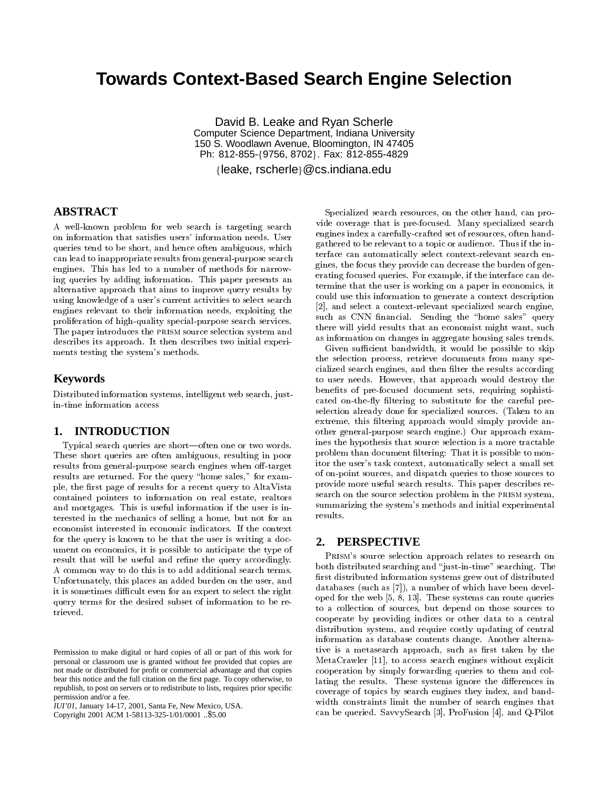# **Towards Context-Based Search Engine Selection**

David B. Leake and Ryan Scherle Computer Science Department, Indiana University 150 S. Woodlawn Avenue, Bloomington, IN 47405 Ph: 812-855-{9756, 8702}. Fax: 812-855-4829

 ${[leake, rscherle]}@cs.$ indiana.edu

# **ABSTRACT**

A well-known problem for web search is targeting search on information that satisfies users' information needs. User queries tend to be short, and hence often ambiguous, which can lead to inappropriate results from general-purpose search engines. This has led to a number of methods for narrowing queries by adding information. This paper presents an alternative approach that aims to improve query results by using knowledge of a user's current activities to select search engines relevant to their information needs, exploiting the proliferation of high-quality special-purpose search services. The paper introduces the prism source selection system and describes its approach. It then describes two initial experi ments testing the system's methods.

## **Keywords**

Distributed information systems, intelligent web search, justin-time information access

## **1. INTRODUCTION**

Typical search queries are short-often one or two words. These short queries are often ambiguous, resulting in poor results from general-purpose search engines when off-target results are returned. For the query "home sales," for example, the first page of results for a recent query to AltaVista contained pointers to information on real estate, realtors and mortgages. This is useful information if the user is interested in the mechanics of selling a home, but not for an economist interested in economic indicators. If the context for the query is known to be that the user is writing a doc ument on economics, it is possible to anticipate the type of result that will be useful and refine the query accordingly. A common way to do this is to add additional search terms. Unfortunately, this places an added burden on the user, and it is sometimes difficult even for an expert to select the right query terms for the desired subset of information to be retrieved

*IUI'01,* January 14-17, 2001, Santa Fe, New Mexico, USA.

Copyright 2001 ACM 1-58113-325-1/01/0001 ..\$5.00

Specialized search resources, on the other hand, can provide coverage that is pre-focused. Many specialized search engines index a carefully-crafted set of resources, often handgathered to be relevant to a topic or audience. Thus if the interface can automatically select context-relevant search engines, the focus they provide can decrease the burden of generating focused queries. For example, if the interface can determine that the user is working on a paper in economics, it could use this information to generate a context description [2], and select a context-relevant specialized search engine, such as CNN financial. Sending the "home sales" query there will yield results that an economist might want, such as information on changes in aggregate housing sales trends.

Given sufficient bandwidth, it would be possible to skip the selection process, retrieve documents from many specialized search engines, and then filter the results according to user needs. However, that approach would destroy the benefits of pre-focused document sets, requiring sophisticated on-the-fly filtering to substitute for the careful preselection already done for specialized sources. (Taken to an extreme, this filtering approach would simply provide another general-purpose search engine.) Our approach examines the hypothesis that source selection is a more tractable problem than document filtering: That it is possible to monitor the user's task context, automatically select a small set of on-point sources, and dispatch queries to those sources to provide more useful search results. This paper describes re search on the source selection problem in the prism system, summarizing the system's methods and initial experimental results.

# **2. PERSPECTIVE**

PRISM's source selection approach relates to research on both distributed searching and "just-in-time" searching. The first distributed information systems grew out of distributed databases (such as [7]), a number of which have been developed for the web [5, 8, 13]. These systems can route queries to a collection of sources, but depend on those sources to cooperate by providing indices or other data to a central distribution system, and require costly updating of central information as database contents change. Another alternative is a metasearch approach, such as first taken by the MetaCrawler [11], to access search engines without explicit cooperation by simply forwarding queries to them and collating the results. These systems ignore the differences in coverage of topics by search engines they index, and bandwidth constraints limit the number of search engines that can be queried. SavvySearch [3], ProFusion [4], and Q-Pilot

Permission to make digital or hard copies of all or part of this work for personal or classroom use is granted without fee provided that copies are not made or distributed for profit or commercial advantage and that copies bear this notice and the full citation on the first page. To copy otherwise, to republish, to post on servers or to redistribute to lists, requires prior specific permission and/or a fee.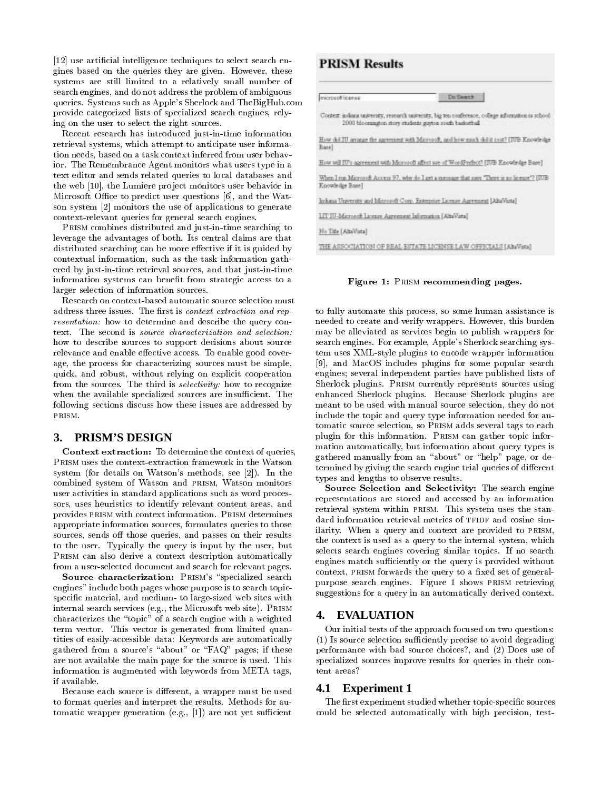[12] use artificial intelligence techniques to select search engines based on the queries they are given. However, these systems are still limited to a relatively small number of search engines, and do not address the problem of ambiguous queries. Systems such as Apple's Sherlock and TheBigHub.com provide categorized lists of specialized search engines, relying on the user to select the right sources.

Recent research has introduced just-in-time information retrieval systems, which attempt to anticipate user information needs, based on a task context inferred from user behavior. The Remembrance Agent monitors what users type in a text editor and sends related queries to local databases and the web [10], the Lumiere project monitors user behavior in Microsoft Office to predict user questions [6], and the Watson system [2] monitors the use of applications to generate context-relevant queries for general search engines.

Prism combines distributed and just-in-time searching to leverage the advantages of both. Its central claims are that distributed searching can be more effective if it is guided by contextual information, such as the task information gathered by just-in-time retrieval sources, and that just-in-time information systems can benet from strategic access to a larger selection of information sources.

Research on context-based automatic source selection must address three issues. The first is *context extraction and rep*resentation: how to determine and describe the query context. The second is source characterization and selection: how to describe sources to support decisions about source relevance and enable effective access. To enable good coverage, the process for characterizing sources must be simple, quick, and robust, without relying on explicit cooperation from the sources. The third is *selectivity*: how to recognize when the available specialized sources are insufficient. The following sections discuss how these issues are addressed by prism.

### **3. PRISM'S DESIGN**

Context extraction: To determine the context of queries, Prism uses the context-extraction framework in the Watson system (for details on Watson's methods, see [2]). In the combined system of Watson and prism, Watson monitors user activities in standard applications such as word processors, uses heuristics to identify relevant content areas, and provides PRISM with context information. PRISM determines appropriate information sources, formulates queries to those sources, sends off those queries, and passes on their results to the user. Typically the query is input by the user, but PRISM can also derive a context description automatically from a user-selected document and search for relevant pages.

Source characterization:  $PRISM$ 's "specialized search  $\sim$ engines" include both pages whose purpose is to search topicspecic material, and medium- to large-sized web sites with internal search services (e.g., the Microsoft web site). Prism characterizes the \topic" of a search engine with a weighted term vector. This vector is generated from limited quantities of easily-accessible data: Keywords are automatically gathered from a source's "about" or " $FAQ$ " pages; if these are not available the main page for the source is used. This information is augmented with keywords from META tags, if available.

Because each source is different, a wrapper must be used to format queries and interpret the results. Methods for automatic wrapper generation  $(e.g., [1])$  are not yet sufficient

# **PRISM Results**

| microsofficense                                             | Do Swarth                                                                                                                                                      |
|-------------------------------------------------------------|----------------------------------------------------------------------------------------------------------------------------------------------------------------|
|                                                             | Contest: induce university, research university, big ten conference, college information is school.<br>2000 bloomington story students gayton south basketball |
| Easte]                                                      | How del IU arrange the agreement with Microsoft, and how much del it cost? (IUB Knowledge                                                                      |
|                                                             | How will IU's agreement with Microsoft affect use of WordPerfect? [IUB Knowledge Base]                                                                         |
| Knowledge Base]                                             | When I run Microsoft Access 97, why do I get a message that says "There is an incense"? [IUB                                                                   |
|                                                             | Induca University and Marriage Corp. Enterprise License Agreement [AltaVista]                                                                                  |
| LIT IU-Microsoft Licence Automobil Information [Alta Vieta] |                                                                                                                                                                |
| No Tide [AltaWata]                                          |                                                                                                                                                                |
|                                                             | THE ASSOCIATION OF REAL ESTATE LICENSE LAW OFFICIALS [AbaVeta]                                                                                                 |

Figure 1: Prism recommending pages.

to fully automate this process, so some human assistance is needed to create and verify wrappers. However, this burden may be alleviated as services begin to publish wrappers for search engines. For example, Apple's Sherlock searching system uses XML-style plugins to encode wrapper information [9], and MacOS includes plugins for some popular search engines; several independent parties have published lists of Sherlock plugins. Prism currently represents sources using enhanced Sherlock plugins. Because Sherlock plugins are meant to be used with manual source selection, they do not include the topic and query type information needed for automatic source selection, so Prism adds several tags to each plugin for this information. Prism can gather topic information automatically, but information about query types is gathered manually from an "about" or "help" page, or determined by giving the search engine trial queries of different types and lengths to observe results.

source Selection and Selection and Selection engine representations are stored and accessed by an information retrieval system within prism. This system uses the standard information retrieval metrics of TFIDF and cosine similarity. When a query and context are provided to PRISM, the context is used as a query to the internal system, which selects search engines covering similar topics. If no search engines match sufficiently or the query is provided without context, PRISM forwards the query to a fixed set of generalpurpose search engines. Figure 1 shows prism retrieving suggestions for a query in an automatically derived context.

# **4. EVALUATION**

Our initial tests of the approach focused on two questions:  $(1)$  Is source selection sufficiently precise to avoid degrading performance with bad source choices?, and (2) Does use of specialized sources improve results for queries in their content areas?

# **4.1 Experiment 1**

The first experiment studied whether topic-specific sources could be selected automatically with high precision, test-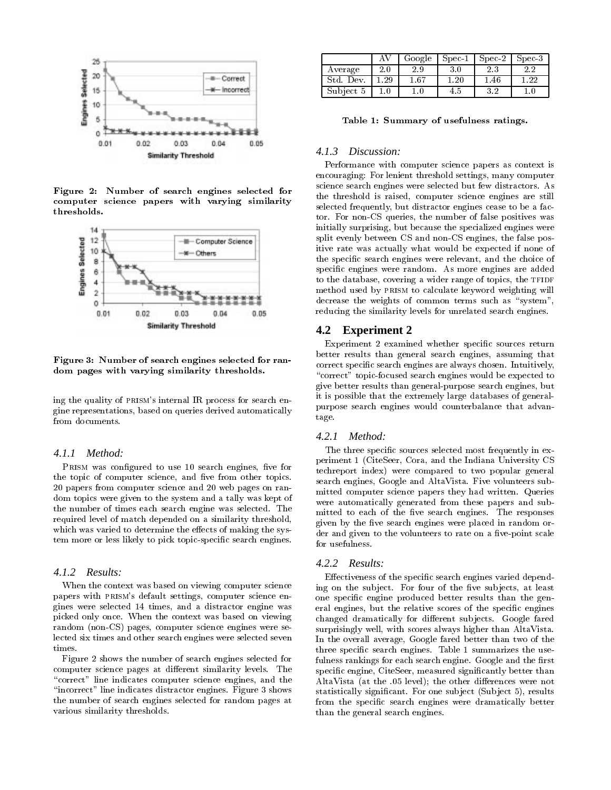

Figure 2:Number of search engines selected for computer science papers with varying similarity thresholds.



Figure 3: Number of search engines selected for random pages with varying similarity thresholds.

ing the quality of prism's internal IR process for search engine representations, based on queries derived automatically from documents.

#### *4.1.1 Method:*

PRISM was configured to use 10 search engines, five for the topic of computer science, and five from other topics. 20 papers from computer science and 20 web pages on random topics were given to the system and a tally was kept of the number of times each search engine was selected. The required level of match depended on a similarity threshold, which was varied to determine the effects of making the system more or less likely to pick topic-specic search engines.

#### *4.1.2 Results:*

When the context was based on viewing computer science papers with prism's default settings, computer science engines were selected 14 times, and a distractor engine was picked only once. When the context was based on viewing random (non-CS) pages, computer science engines were selected six times and other search engines were selected seven times.

Figure 2 shows the number of search engines selected for computer science pages at different similarity levels. The "correct" line indicates computer science engines, and the "incorrect" line indicates distractor engines. Figure 3 shows the number of search engines selected for random pages at various similarity thresholds.

|              | AV  | Google   |          | $Spec-1$   Spec-2 | $Spec-3$ |
|--------------|-----|----------|----------|-------------------|----------|
| Average      | 2.0 | 2.9      | 3.0      | 2.3               | z.z      |
| Std.<br>Dev. | 29  | $1.67\,$ | $1.20\,$ | $1.46\,$          | 1.22     |
| Subject 5    |     |          | 4 b      | 3.2               | 1.0      |

Table 1: Summary of usefulness ratings.

#### *4.1.3 Discussion:*

Performance with computer science papers as context is encouraging: For lenient threshold settings, many computer science search engines were selected but few distractors. As the threshold is raised, computer science engines are still selected frequently, but distractor engines cease to be a factor. For non-CS queries, the number of false positives was initially surprising, but because the specialized engines were split evenly between CS and non-CS engines, the false positive rate was actually what would be expected if none of the specic search engines were relevant, and the choice of specic engines were random. As more engines are added to the database, covering a wider range of topics, the TFIDF method used by prism to calculate keyword weighting will decrease the weights of common terms such as "system" reducing the similarity levels for unrelated search engines.

## **4.2 Experiment 2**

Experiment 2 examined whether specic sources return better results than general search engines, assuming that correct specic search engines are always chosen. Intuitively, "correct" topic-focused search engines would be expected to give better results than general-purpose search engines, but it is possible that the extremely large databases of generalpurpose search engines would counterbalance that advan tage.

#### *4.2.1 Method:*

The three specific sources selected most frequently in experiment 1 (CiteSeer, Cora, and the Indiana University CS techreport index) were compared to two popular general search engines, Google and AltaVista. Five volunteers submitted computer science papers they had written. Queries were automatically generated from these papers and submitted to each of the five search engines. The responses given by the five search engines were placed in random order and given to the volunteers to rate on a five-point scale for usefulness.

#### *4.2.2 Results:*

Effectiveness of the specific search engines varied depending on the subject. For four of the five subjects, at least one specific engine produced better results than the general engines, but the relative scores of the specic engines changed dramatically for different subjects. Google fared surprisingly well, with scores always higher than AltaVista. In the overall average, Google fared better than two of the three specific search engines. Table 1 summarizes the usefulness rankings for each search engine. Google and the first specific engine, CiteSeer, measured significantly better than AltaVista (at the .05 level); the other differences were not statistically significant. For one subject (Subject 5), results from the specific search engines were dramatically better than the general search engines.